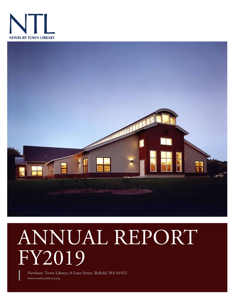



# ANNUAL REPORT FY2019

www.newburylibrary.org **Newbury Town Library, 0 Lunt Street, Byfield, MA 01922**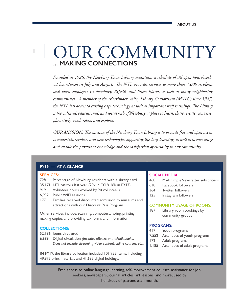### **... MAKING CONNECTIONS** OUR COMMUNITY

*Founded in 1926, the Newbury Town Library maintains a schedule of 36 open hours/week, 32 hours/week in July and August. The NTL provides services to more than 7,000 residents and town employees in Newbury, Byfield, and Plum Island, as well as many neighboring communities. A member of the Merrimack Valley Library Consortium (MVLC) since 1987, the NTL has access to cutting edge technology as well as important staff trainings. The Library is the cultural, educational, and social hub of Newbury; a place to learn, share, create, converse, play, study, read, relax, and explore.*

*OUR MISSION: The mission of the Newbury Town Library is to provide free and open access to materials, services, and new technologies supporting life-long learning, as well as to encourage and enable the pursuit of knowledge and the satisfaction of curiosity in our community.*

#### **FY19 — AT A GLANCE**

#### **SERVICES:**

**1**

- 72% Percentage of Newbury residents with a library card
- 35,171 NTL visitors last year (29k in FY18, 28k in FY17)
- 919 Volunteer hours worked by 20 volunteers
- 6,932 Public WIFI sessions
- 177 Families received discounted admission to museums and attractions with our Discount Pass Program

Other services include: scanning, computers, faxing, printing, making copies, and providing tax forms and information

#### **COLLECTIONS:**

- 52,186 Items circulated
- 6,689 Digital circulation *(Includes eBooks and eAudiobooks. Does not include streaming video content, online courses, etc.)*

IN FY19, the library collection included 101,955 items, including 49,975 print materials and 41,635 digital holdings.

#### **SOCIAL MEDIA:**

- 460 Mailchimp eNewsletter subscribers
- 618 Facebook followers
- 364 Twitter followers
- 125 Instagram followers

#### **COMMUNITY USAGE OF ROOMS:**

187 Library room bookings by community groups

#### **PROGRAMS:**

- 417 Youth programs
- 7,552 Attendees of youth programs
- 172 Adult programs
- 1,185 Attendees of adult programs

Free access to online language learning, self-improvement courses, assistance for job seekers, newspapers, journal articles, art lessons, and more, used by hundreds of patrons each month.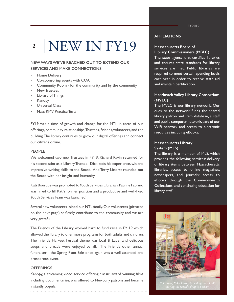## NEW IN FY19 **2**

#### **NEW WAYS WE'VE REACHED OUT TO EXTEND OUR SERVICES AND MAKE CONNECTIONS**

- Home Delivery
- Co-sponsoring events with COA
- Community Room for the community and by the community
- New Trustees
- Library of Things
- Kanopy
- Universal Class
- Mass RMV Practice Tests

FY19 was a time of growth and change for the NTL in areas of our offerings, community relationships, Trustees, Friends, Volunteers, and the building. The library continues to grow our digital offerings and connect our citizens online.

#### **PEOPLE**

We welcomed two new Trustees in FY19. Richard Ravin returned for his second stint as a Library Trustee. Dick adds his experience, wit and impressive writing skills to the Board. And Terry Litterst rounded out the Board with her insight and humanity.

Kati Bourque was promoted to Youth Services Librarian, Pauline Fabiano was hired to fill Kati's former position and a productive and well-liked Youth Services Team was launched!

Several new volunteers joined our NTL family. Our volunteers (pictured on the next page) selflessly contribute to the community and we are very grateful.

The Friends of the Library worked hard to fund raise in FY 19 which allowed the library to offer more programs for both adults and children. The Friends Harvest Festival theme was Loaf & Ladel and delicious soups and breads were enjoyed by all. The Friends other annual fundraiser - the Spring Plant Sale once again was a well attended and prosperous event.

#### **OFFERINGS**

Kanopy, a streaming video service offering classic, award winning films including documentaries, was offered to Newbury patrons and became instantly popular.

**AFFILIATIONS**

#### **Massachusetts Board of Library Commissioners (MBLC)**

The state agency that certifies libraries and ensures state standards for library services are met. Public libraries are required to meet certain spending levels each year in order to receive state aid and maintain certification.

#### **Merrimack Valley Library Consortium (MVLC)**

The MVLC is our library network. Our dues to the network funds the shared library patron and item database, a staff and public computer network, part of our WiFi network and access to electronic resources including eBooks.

#### **Massachusetts Library System (MLS)**

The library is a member of MLS, which provides the following services: delivery of library items between Massachusetts libraries, access to online magazines, newspapers, and journals; access to eBooks through the Commonwealth Collections; and continuing education for library staff.



*Volunteer, Mike Olson, providing Tech Help* 

**FY2019**